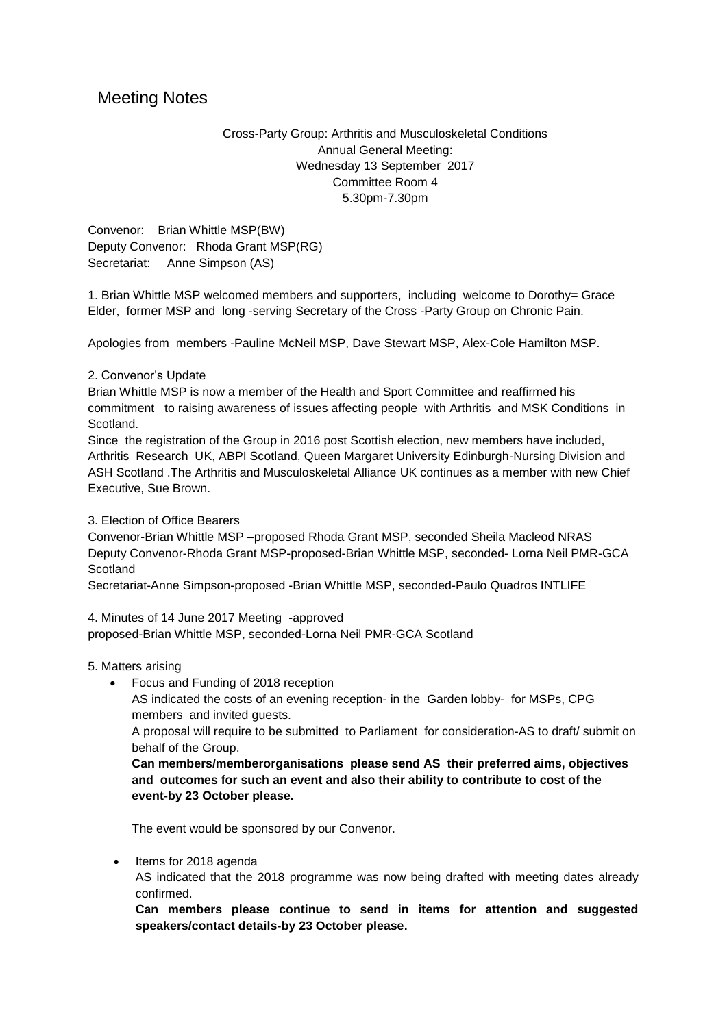# Meeting Notes

Cross-Party Group: Arthritis and Musculoskeletal Conditions Annual General Meeting: Wednesday 13 September 2017 Committee Room 4 5.30pm-7.30pm

Convenor: Brian Whittle MSP(BW) Deputy Convenor: Rhoda Grant MSP(RG) Secretariat: Anne Simpson (AS)

1. Brian Whittle MSP welcomed members and supporters, including welcome to Dorothy= Grace Elder, former MSP and long -serving Secretary of the Cross -Party Group on Chronic Pain.

Apologies from members -Pauline McNeil MSP, Dave Stewart MSP, Alex-Cole Hamilton MSP.

## 2. Convenor's Update

Brian Whittle MSP is now a member of the Health and Sport Committee and reaffirmed his commitment to raising awareness of issues affecting people with Arthritis and MSK Conditions in Scotland.

Since the registration of the Group in 2016 post Scottish election, new members have included, Arthritis Research UK, ABPI Scotland, Queen Margaret University Edinburgh-Nursing Division and ASH Scotland .The Arthritis and Musculoskeletal Alliance UK continues as a member with new Chief Executive, Sue Brown.

3. Election of Office Bearers

Convenor-Brian Whittle MSP –proposed Rhoda Grant MSP, seconded Sheila Macleod NRAS Deputy Convenor-Rhoda Grant MSP-proposed-Brian Whittle MSP, seconded- Lorna Neil PMR-GCA **Scotland** 

Secretariat-Anne Simpson-proposed -Brian Whittle MSP, seconded-Paulo Quadros INTLIFE

4. Minutes of 14 June 2017 Meeting -approved proposed-Brian Whittle MSP, seconded-Lorna Neil PMR-GCA Scotland

## 5. Matters arising

• Focus and Funding of 2018 reception

AS indicated the costs of an evening reception- in the Garden lobby- for MSPs, CPG members and invited guests.

A proposal will require to be submitted to Parliament for consideration-AS to draft/ submit on behalf of the Group.

**Can members/memberorganisations please send AS their preferred aims, objectives and outcomes for such an event and also their ability to contribute to cost of the event-by 23 October please.**

The event would be sponsored by our Convenor.

• Items for 2018 agenda

AS indicated that the 2018 programme was now being drafted with meeting dates already confirmed.

**Can members please continue to send in items for attention and suggested speakers/contact details-by 23 October please.**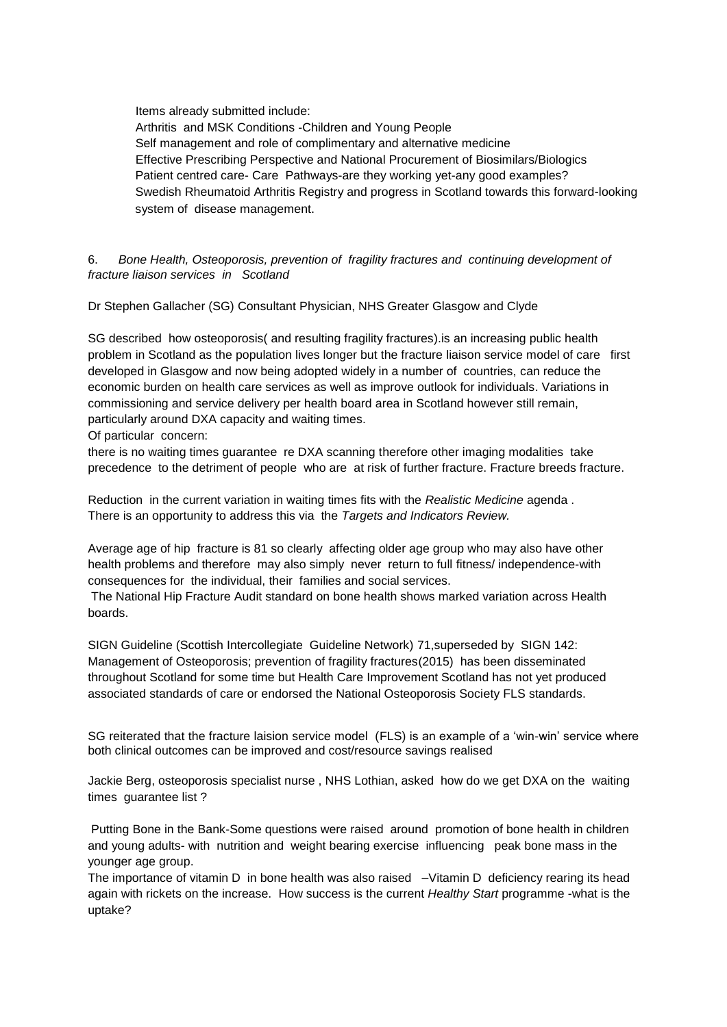Items already submitted include: Arthritis and MSK Conditions -Children and Young People Self management and role of complimentary and alternative medicine Effective Prescribing Perspective and National Procurement of Biosimilars/Biologics Patient centred care- Care Pathways-are they working yet-any good examples? Swedish Rheumatoid Arthritis Registry and progress in Scotland towards this forward-looking system of disease management.

6. *Bone Health, Osteoporosis, prevention of fragility fractures and continuing development of fracture liaison services in Scotland*

Dr Stephen Gallacher (SG) Consultant Physician, NHS Greater Glasgow and Clyde

SG described how osteoporosis( and resulting fragility fractures).is an increasing public health problem in Scotland as the population lives longer but the fracture liaison service model of care first developed in Glasgow and now being adopted widely in a number of countries, can reduce the economic burden on health care services as well as improve outlook for individuals. Variations in commissioning and service delivery per health board area in Scotland however still remain, particularly around DXA capacity and waiting times.

Of particular concern:

there is no waiting times guarantee re DXA scanning therefore other imaging modalities take precedence to the detriment of people who are at risk of further fracture. Fracture breeds fracture.

Reduction in the current variation in waiting times fits with the *Realistic Medicine* agenda . There is an opportunity to address this via the *Targets and Indicators Review.*

Average age of hip fracture is 81 so clearly affecting older age group who may also have other health problems and therefore may also simply never return to full fitness/ independence-with consequences for the individual, their families and social services.

The National Hip Fracture Audit standard on bone health shows marked variation across Health boards.

SIGN Guideline (Scottish Intercollegiate Guideline Network) 71,superseded by SIGN 142: Management of Osteoporosis; prevention of fragility fractures(2015) has been disseminated throughout Scotland for some time but Health Care Improvement Scotland has not yet produced associated standards of care or endorsed the National Osteoporosis Society FLS standards.

SG reiterated that the fracture laision service model (FLS) is an example of a 'win-win' service where both clinical outcomes can be improved and cost/resource savings realised

Jackie Berg, osteoporosis specialist nurse , NHS Lothian, asked how do we get DXA on the waiting times guarantee list ?

Putting Bone in the Bank-Some questions were raised around promotion of bone health in children and young adults- with nutrition and weight bearing exercise influencing peak bone mass in the younger age group.

The importance of vitamin D in bone health was also raised -Vitamin D deficiency rearing its head again with rickets on the increase. How success is the current *Healthy Start* programme -what is the uptake?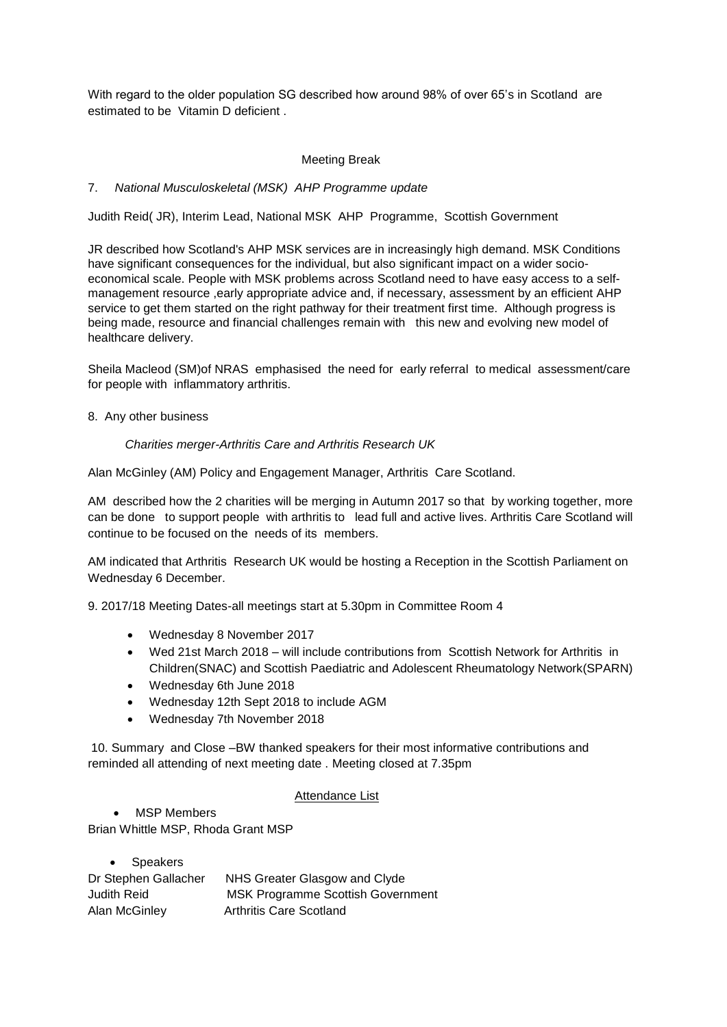With regard to the older population SG described how around 98% of over 65's in Scotland are estimated to be Vitamin D deficient .

# Meeting Break

# 7. *National Musculoskeletal (MSK) AHP Programme update*

Judith Reid( JR), Interim Lead, National MSK AHP Programme, Scottish Government

JR described how Scotland's AHP MSK services are in increasingly high demand. MSK Conditions have significant consequences for the individual, but also significant impact on a wider socioeconomical scale. People with MSK problems across Scotland need to have easy access to a selfmanagement resource ,early appropriate advice and, if necessary, assessment by an efficient AHP service to get them started on the right pathway for their treatment first time. Although progress is being made, resource and financial challenges remain with this new and evolving new model of healthcare delivery.

Sheila Macleod (SM)of NRAS emphasised the need for early referral to medical assessment/care for people with inflammatory arthritis.

8. Any other business

#### *Charities merger-Arthritis Care and Arthritis Research UK*

Alan McGinley (AM) Policy and Engagement Manager, Arthritis Care Scotland.

AM described how the 2 charities will be merging in Autumn 2017 so that by working together, more can be done to support people with arthritis to lead full and active lives. Arthritis Care Scotland will continue to be focused on the needs of its members.

AM indicated that Arthritis Research UK would be hosting a Reception in the Scottish Parliament on Wednesday 6 December.

9. 2017/18 Meeting Dates-all meetings start at 5.30pm in Committee Room 4

- Wednesday 8 November 2017
- Wed 21st March 2018 will include contributions from Scottish Network for Arthritis in Children(SNAC) and Scottish Paediatric and Adolescent Rheumatology Network(SPARN)
- Wednesday 6th June 2018
- Wednesday 12th Sept 2018 to include AGM
- Wednesday 7th November 2018

10. Summary and Close –BW thanked speakers for their most informative contributions and reminded all attending of next meeting date . Meeting closed at 7.35pm

## Attendance List

 MSP Members Brian Whittle MSP, Rhoda Grant MSP

| • Speakers           |                                          |
|----------------------|------------------------------------------|
| Dr Stephen Gallacher | NHS Greater Glasgow and Clyde            |
| Judith Reid          | <b>MSK Programme Scottish Government</b> |
| Alan McGinley        | Arthritis Care Scotland                  |